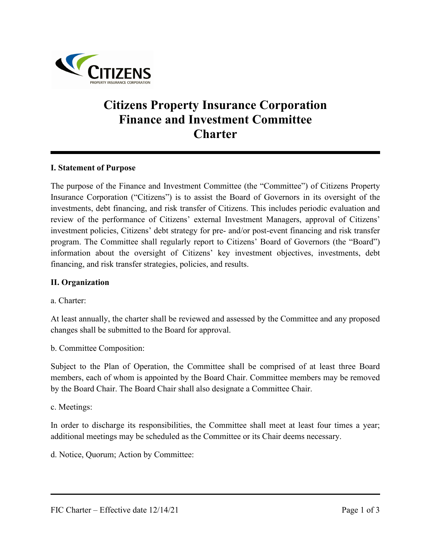

# **Citizens Property Insurance Corporation Finance and Investment Committee Charter**

### **I. Statement of Purpose**

The purpose of the Finance and Investment Committee (the "Committee") of Citizens Property Insurance Corporation ("Citizens") is to assist the Board of Governors in its oversight of the investments, debt financing, and risk transfer of Citizens. This includes periodic evaluation and review of the performance of Citizens' external Investment Managers, approval of Citizens' investment policies, Citizens' debt strategy for pre- and/or post-event financing and risk transfer program. The Committee shall regularly report to Citizens' Board of Governors (the "Board") information about the oversight of Citizens' key investment objectives, investments, debt financing, and risk transfer strategies, policies, and results.

#### **II. Organization**

a. Charter:

At least annually, the charter shall be reviewed and assessed by the Committee and any proposed changes shall be submitted to the Board for approval.

b. Committee Composition:

Subject to the Plan of Operation, the Committee shall be comprised of at least three Board members, each of whom is appointed by the Board Chair. Committee members may be removed by the Board Chair. The Board Chair shall also designate a Committee Chair.

c. Meetings:

In order to discharge its responsibilities, the Committee shall meet at least four times a year; additional meetings may be scheduled as the Committee or its Chair deems necessary.

d. Notice, Quorum; Action by Committee: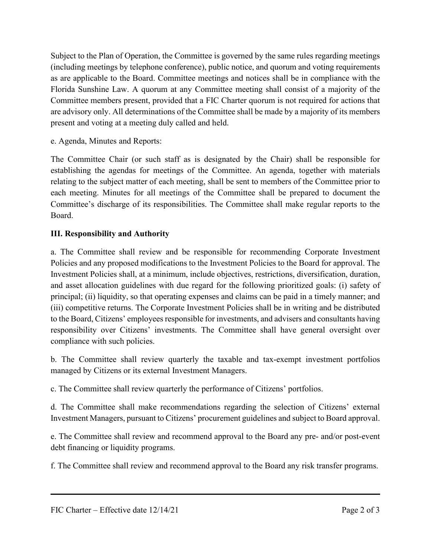Subject to the Plan of Operation, the Committee is governed by the same rules regarding meetings (including meetings by telephone conference), public notice, and quorum and voting requirements as are applicable to the Board. Committee meetings and notices shall be in compliance with the Florida Sunshine Law. A quorum at any Committee meeting shall consist of a majority of the Committee members present, provided that a FIC Charter quorum is not required for actions that are advisory only. All determinations of the Committee shall be made by a majority of its members present and voting at a meeting duly called and held.

e. Agenda, Minutes and Reports:

The Committee Chair (or such staff as is designated by the Chair) shall be responsible for establishing the agendas for meetings of the Committee. An agenda, together with materials relating to the subject matter of each meeting, shall be sent to members of the Committee prior to each meeting. Minutes for all meetings of the Committee shall be prepared to document the Committee's discharge of its responsibilities. The Committee shall make regular reports to the Board.

## **III. Responsibility and Authority**

a. The Committee shall review and be responsible for recommending Corporate Investment Policies and any proposed modifications to the Investment Policies to the Board for approval. The Investment Policies shall, at a minimum, include objectives, restrictions, diversification, duration, and asset allocation guidelines with due regard for the following prioritized goals: (i) safety of principal; (ii) liquidity, so that operating expenses and claims can be paid in a timely manner; and (iii) competitive returns. The Corporate Investment Policies shall be in writing and be distributed to the Board, Citizens' employees responsible for investments, and advisers and consultants having responsibility over Citizens' investments. The Committee shall have general oversight over compliance with such policies.

b. The Committee shall review quarterly the taxable and tax-exempt investment portfolios managed by Citizens or its external Investment Managers.

c. The Committee shall review quarterly the performance of Citizens' portfolios.

d. The Committee shall make recommendations regarding the selection of Citizens' external Investment Managers, pursuant to Citizens' procurement guidelines and subject to Board approval.

e. The Committee shall review and recommend approval to the Board any pre- and/or post-event debt financing or liquidity programs.

f. The Committee shall review and recommend approval to the Board any risk transfer programs.